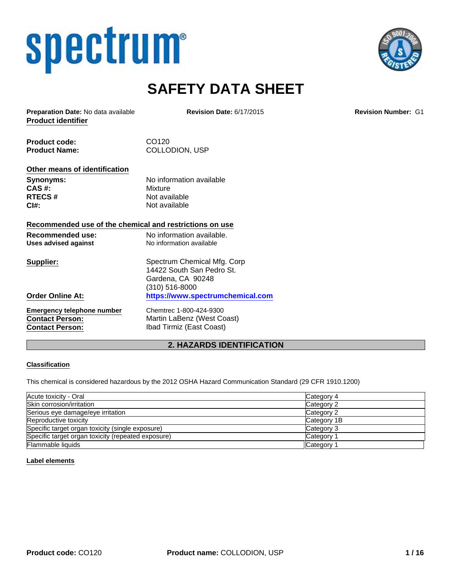# spectrum®



# **SAFETY DATA SHEET**

**Product identifier Preparation Date:** No data available **Revision Date:** 6/17/2015 **Revision Number:** G1

Product code: CO120 Product Name: COLLODION, USP

#### **Other means of identification**

**CAS #:** Mixture **RTECS #** Not available **CI#:** Not available

**Synonyms:** No information available

#### **Recommended use of the chemical and restrictions on use**

| Recommended use:<br>Uses advised against | No information available.<br>No information available |
|------------------------------------------|-------------------------------------------------------|
| Supplier:                                | Spectrum Chemical Mfg. Corp                           |
|                                          | 14422 South San Pedro St.                             |
|                                          | Gardena, CA 90248                                     |
|                                          | (310) 516-8000                                        |
| <b>Order Online At:</b>                  | https://www.spectrumchemical.com                      |
| <b>Emergency telephone number</b>        | Chemtrec 1-800-424-9300                               |
| <b>Contact Person:</b>                   | Martin LaBenz (West Coast)                            |
| <b>Contact Person:</b>                   | Ibad Tirmiz (East Coast)                              |

# **2. HAZARDS IDENTIFICATION**

#### **Classification**

This chemical is considered hazardous by the 2012 OSHA Hazard Communication Standard (29 CFR 1910.1200)

| Acute toxicity - Oral                              | Category 4  |
|----------------------------------------------------|-------------|
| Skin corrosion/irritation                          | Category 2  |
| Serious eye damage/eye irritation                  | Category 2  |
| Reproductive toxicity                              | Category 1B |
| Specific target organ toxicity (single exposure)   | Category 3  |
| Specific target organ toxicity (repeated exposure) | Category 1  |
| <b>Flammable liquids</b>                           | Category 1  |

#### **Label elements**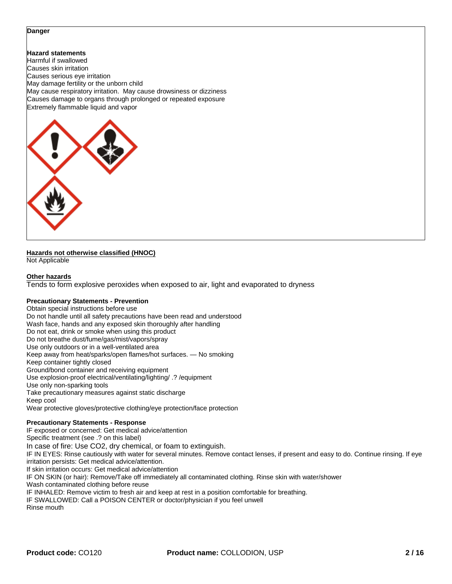#### **Danger**

**Hazard statements** Harmful if swallowed Causes skin irritation Causes serious eye irritation May damage fertility or the unborn child May cause respiratory irritation. May cause drowsiness or dizziness Causes damage to organs through prolonged or repeated exposure Extremely flammable liquid and vapor



#### **Hazards not otherwise classified (HNOC)**

Not Applicable

#### **Other hazards**

Tends to form explosive peroxides when exposed to air, light and evaporated to dryness

#### **Precautionary Statements - Prevention**

Obtain special instructions before use Do not handle until all safety precautions have been read and understood Wash face, hands and any exposed skin thoroughly after handling Do not eat, drink or smoke when using this product Do not breathe dust/fume/gas/mist/vapors/spray Use only outdoors or in a well-ventilated area Keep away from heat/sparks/open flames/hot surfaces. — No smoking Keep container tightly closed Ground/bond container and receiving equipment Use explosion-proof electrical/ventilating/lighting/ .? /equipment Use only non-sparking tools Take precautionary measures against static discharge Keep cool Wear protective gloves/protective clothing/eye protection/face protection

#### **Precautionary Statements - Response**

IF exposed or concerned: Get medical advice/attention Specific treatment (see .? on this label) In case of fire: Use CO2, dry chemical, or foam to extinguish. IF IN EYES: Rinse cautiously with water for several minutes. Remove contact lenses, if present and easy to do. Continue rinsing. If eye irritation persists: Get medical advice/attention. If skin irritation occurs: Get medical advice/attention IF ON SKIN (or hair): Remove/Take off immediately all contaminated clothing. Rinse skin with water/shower Wash contaminated clothing before reuse IF INHALED: Remove victim to fresh air and keep at rest in a position comfortable for breathing. IF SWALLOWED: Call a POISON CENTER or doctor/physician if you feel unwell Rinse mouth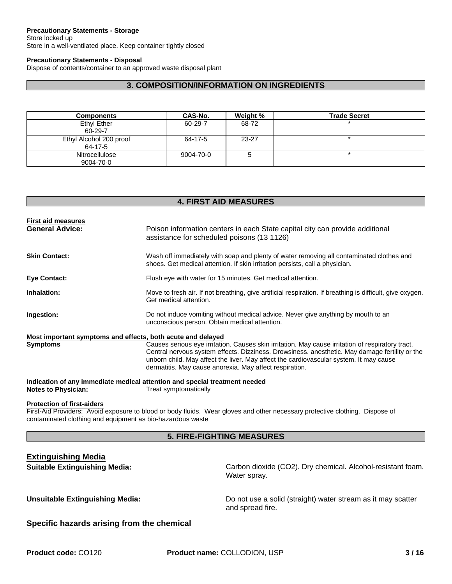#### **Precautionary Statements - Storage**

Store locked up Store in a well-ventilated place. Keep container tightly closed

#### **Precautionary Statements - Disposal**

Dispose of contents/container to an approved waste disposal plant

### **3. COMPOSITION/INFORMATION ON INGREDIENTS**

| <b>Components</b>                  | CAS-No.   | Weight % | <b>Trade Secret</b> |
|------------------------------------|-----------|----------|---------------------|
| Ethyl Ether<br>60-29-7             | 60-29-7   | 68-72    |                     |
| Ethyl Alcohol 200 proof<br>64-17-5 | 64-17-5   | 23-27    |                     |
| <b>Nitrocellulose</b><br>9004-70-0 | 9004-70-0 | э        |                     |

#### **4. FIRST AID MEASURES**

| <b>First aid measures</b>         |                                                                                                                                                                                                                                                                                                                                                          |
|-----------------------------------|----------------------------------------------------------------------------------------------------------------------------------------------------------------------------------------------------------------------------------------------------------------------------------------------------------------------------------------------------------|
| <b>General Advice:</b>            | Poison information centers in each State capital city can provide additional<br>assistance for scheduled poisons (13 1126)                                                                                                                                                                                                                               |
| <b>Skin Contact:</b>              | Wash off immediately with soap and plenty of water removing all contaminated clothes and<br>shoes. Get medical attention. If skin irritation persists, call a physician.                                                                                                                                                                                 |
| <b>Eye Contact:</b>               | Flush eye with water for 15 minutes. Get medical attention.                                                                                                                                                                                                                                                                                              |
| Inhalation:                       | Move to fresh air. If not breathing, give artificial respiration. If breathing is difficult, give oxygen.<br>Get medical attention.                                                                                                                                                                                                                      |
| Ingestion:                        | Do not induce vomiting without medical advice. Never give anything by mouth to an<br>unconscious person. Obtain medical attention.                                                                                                                                                                                                                       |
|                                   | Most important symptoms and effects, both acute and delayed                                                                                                                                                                                                                                                                                              |
| <b>Symptoms</b>                   | Causes serious eye irritation. Causes skin irritation. May cause irritation of respiratory tract.<br>Central nervous system effects. Dizziness. Drowsiness. anesthetic. May damage fertility or the<br>unborn child. May affect the liver. May affect the cardiovascular system. It may cause<br>dermatitis. May cause anorexia. May affect respiration. |
|                                   | Indication of any immediate medical attention and special treatment needed                                                                                                                                                                                                                                                                               |
| <b>Notes to Physician:</b>        | Treat symptomatically                                                                                                                                                                                                                                                                                                                                    |
| <b>Protection of first-aiders</b> |                                                                                                                                                                                                                                                                                                                                                          |
|                                   | First-Aid Providers: Avoid exposure to blood or body fluids. Wear gloves and other necessary protective clothing. Dispose of                                                                                                                                                                                                                             |
|                                   | contaminated clothing and equipment as bio-hazardous waste                                                                                                                                                                                                                                                                                               |
|                                   | <b>5. FIRE-FIGHTING MEASURES</b>                                                                                                                                                                                                                                                                                                                         |
| <b>Extinguishing Media</b>        |                                                                                                                                                                                                                                                                                                                                                          |

**Suitable Extinguishing Media:** Carbon dioxide (CO2). Dry chemical. Alcohol-resistant foam. Water spray.

**Unsuitable Extinguishing Media:** Do not use a solid (straight) water stream as it may scatter and spread fire.

#### **Specific hazards arising from the chemical**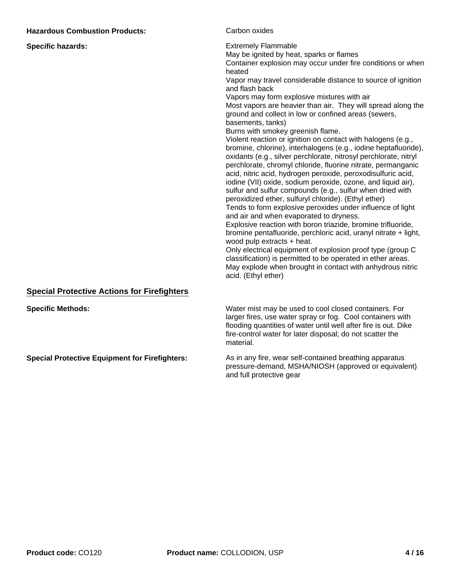| <b>Hazardous Combustion Products:</b>                 | Carbon oxides                                                                                                                                                                                                                                                                                                                                                                                                                                                                                                                                                                                                                                                                                                                                                                                                                                                                                                                                                                                                                                                                                                                                                                                                                                                                                                                                                                                                                                                                             |
|-------------------------------------------------------|-------------------------------------------------------------------------------------------------------------------------------------------------------------------------------------------------------------------------------------------------------------------------------------------------------------------------------------------------------------------------------------------------------------------------------------------------------------------------------------------------------------------------------------------------------------------------------------------------------------------------------------------------------------------------------------------------------------------------------------------------------------------------------------------------------------------------------------------------------------------------------------------------------------------------------------------------------------------------------------------------------------------------------------------------------------------------------------------------------------------------------------------------------------------------------------------------------------------------------------------------------------------------------------------------------------------------------------------------------------------------------------------------------------------------------------------------------------------------------------------|
| <b>Specific hazards:</b>                              | <b>Extremely Flammable</b><br>May be ignited by heat, sparks or flames<br>Container explosion may occur under fire conditions or when<br>heated<br>Vapor may travel considerable distance to source of ignition<br>and flash back<br>Vapors may form explosive mixtures with air<br>Most vapors are heavier than air. They will spread along the<br>ground and collect in low or confined areas (sewers,<br>basements, tanks)<br>Burns with smokey greenish flame.<br>Violent reaction or ignition on contact with halogens (e.g.,<br>bromine, chlorine), interhalogens (e.g., iodine heptafluoride),<br>oxidants (e.g., silver perchlorate, nitrosyl perchlorate, nitryl<br>perchlorate, chromyl chloride, fluorine nitrate, permanganic<br>acid, nitric acid, hydrogen peroxide, peroxodisulfuric acid,<br>iodine (VII) oxide, sodium peroxide, ozone, and liquid air),<br>sulfur and sulfur compounds (e.g., sulfur when dried with<br>peroxidized ether, sulfuryl chloride). (Ethyl ether)<br>Tends to form explosive peroxides under influence of light<br>and air and when evaporated to dryness.<br>Explosive reaction with boron triazide, bromine trifluoride,<br>bromine pentafluoride, perchloric acid, uranyl nitrate + light,<br>wood pulp extracts + heat.<br>Only electrical equipment of explosion proof type (group C<br>classification) is permitted to be operated in ether areas.<br>May explode when brought in contact with anhydrous nitric<br>acid. (Ethyl ether) |
| <b>Special Protective Actions for Firefighters</b>    |                                                                                                                                                                                                                                                                                                                                                                                                                                                                                                                                                                                                                                                                                                                                                                                                                                                                                                                                                                                                                                                                                                                                                                                                                                                                                                                                                                                                                                                                                           |
| <b>Specific Methods:</b>                              | Water mist may be used to cool closed containers. For<br>larger fires, use water spray or fog. Cool containers with<br>flooding quantities of water until well after fire is out. Dike<br>fire-control water for later disposal; do not scatter the<br>material.                                                                                                                                                                                                                                                                                                                                                                                                                                                                                                                                                                                                                                                                                                                                                                                                                                                                                                                                                                                                                                                                                                                                                                                                                          |
| <b>Special Protective Equipment for Firefighters:</b> | As in any fire, wear self-contained breathing apparatus<br>pressure-demand, MSHA/NIOSH (approved or equivalent)                                                                                                                                                                                                                                                                                                                                                                                                                                                                                                                                                                                                                                                                                                                                                                                                                                                                                                                                                                                                                                                                                                                                                                                                                                                                                                                                                                           |

and full protective gear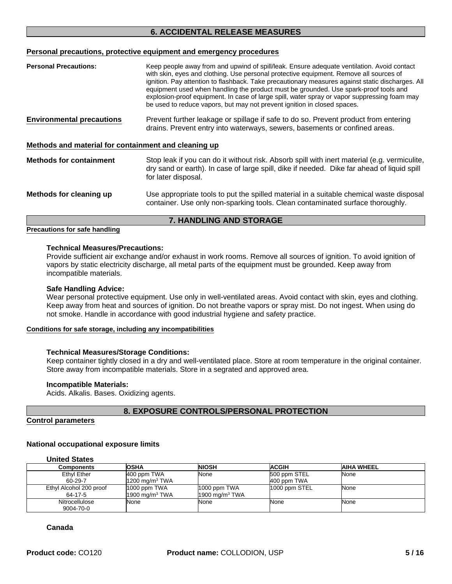### **6. ACCIDENTAL RELEASE MEASURES**

#### **Personal precautions, protective equipment and emergency procedures**

| <b>Personal Precautions:</b>                         | Keep people away from and upwind of spill/leak. Ensure adequate ventilation. Avoid contact<br>with skin, eyes and clothing. Use personal protective equipment. Remove all sources of<br>ignition. Pay attention to flashback. Take precautionary measures against static discharges. All<br>equipment used when handling the product must be grounded. Use spark-proof tools and<br>explosion-proof equipment. In case of large spill, water spray or vapor suppressing foam may<br>be used to reduce vapors, but may not prevent ignition in closed spaces. |
|------------------------------------------------------|--------------------------------------------------------------------------------------------------------------------------------------------------------------------------------------------------------------------------------------------------------------------------------------------------------------------------------------------------------------------------------------------------------------------------------------------------------------------------------------------------------------------------------------------------------------|
| <b>Environmental precautions</b>                     | Prevent further leakage or spillage if safe to do so. Prevent product from entering<br>drains. Prevent entry into waterways, sewers, basements or confined areas.                                                                                                                                                                                                                                                                                                                                                                                            |
| Methods and material for containment and cleaning up |                                                                                                                                                                                                                                                                                                                                                                                                                                                                                                                                                              |
| <b>Methods for containment</b>                       | Stop leak if you can do it without risk. Absorb spill with inert material (e.g. vermiculite,<br>dry sand or earth). In case of large spill, dike if needed. Dike far ahead of liquid spill<br>for later disposal.                                                                                                                                                                                                                                                                                                                                            |
| Methods for cleaning up                              | Use appropriate tools to put the spilled material in a suitable chemical waste disposal<br>container. Use only non-sparking tools. Clean contaminated surface thoroughly.                                                                                                                                                                                                                                                                                                                                                                                    |

#### **7. HANDLING AND STORAGE**

#### **Precautions for safe handling**

#### **Technical Measures/Precautions:**

Provide sufficient air exchange and/or exhaust in work rooms. Remove all sources of ignition. To avoid ignition of vapors by static electricity discharge, all metal parts of the equipment must be grounded. Keep away from incompatible materials.

#### **Safe Handling Advice:**

Wear personal protective equipment. Use only in well-ventilated areas. Avoid contact with skin, eyes and clothing. Keep away from heat and sources of ignition. Do not breathe vapors or spray mist. Do not ingest. When using do not smoke. Handle in accordance with good industrial hygiene and safety practice.

#### **Conditions for safe storage, including any incompatibilities**

#### **Technical Measures/Storage Conditions:**

Keep container tightly closed in a dry and well-ventilated place. Store at room temperature in the original container. Store away from incompatible materials. Store in a segrated and approved area.

#### **Incompatible Materials:**

Acids. Alkalis. Bases. Oxidizing agents.

#### **8. EXPOSURE CONTROLS/PERSONAL PROTECTION**

#### **Control parameters**

#### **National occupational exposure limits**

| <b>Components</b>       | <b>OSHA</b>               | NIOSH                     | <b>ACGIH</b>    | AIHA WHEEL |
|-------------------------|---------------------------|---------------------------|-----------------|------------|
| Ethyl Ether             | 400 ppm TWA               | None                      | 500 ppm STEL    | None       |
| 60-29-7                 | $1200 \text{ ma/m}^3$ TWA |                           | 400 ppm TWA     |            |
| Ethyl Alcohol 200 proof | 1000 ppm TWA              | 1000 ppm TWA              | $1000$ ppm STEL | None       |
| 64-17-5                 | $1900 \text{ ma/m}^3$ TWA | $1900 \text{ mg/m}^3$ TWA |                 |            |
| Nitrocellulose          | None                      | None                      | None            | None       |
| 9004-70-0               |                           |                           |                 |            |

#### **Canada**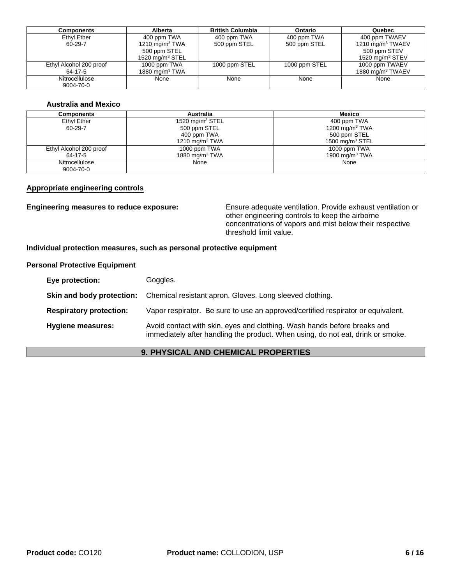| Components              | <b>Alberta</b>     | <b>British Columbia</b> | Ontario       | Quebec                       |
|-------------------------|--------------------|-------------------------|---------------|------------------------------|
| Ethyl Ether             | 400 ppm TWA        | 400 ppm TWA             | 400 ppm TWA   | 400 ppm TWAEV                |
| 60-29-7                 | 1210 mg/m $3$ TWA  | 500 ppm STEL            | 500 ppm STEL  | 1210 mg/m $3$ TWAEV          |
|                         | 500 ppm STEL       |                         |               | 500 ppm STEV                 |
|                         | 1520 mg/m $3$ STEL |                         |               | 1520 mg/m $3$ STEV           |
| Ethyl Alcohol 200 proof | 1000 ppm TWA       | 1000 ppm STEL           | 1000 ppm STEL | 1000 ppm TWAEV               |
| 64-17-5                 | 1880 mg/m $3$ TWA  |                         |               | 1880 mg/m <sup>3</sup> TWAEV |
| Nitrocellulose          | None               | None                    | None          | None                         |
| 9004-70-0               |                    |                         |               |                              |

#### **Australia and Mexico**

| <b>Components</b>       | <b>Australia</b>   | Mexico             |
|-------------------------|--------------------|--------------------|
| Ethyl Ether             | 1520 mg/m $3$ STEL | 400 ppm TWA        |
| 60-29-7                 | 500 ppm STEL       | 1200 mg/m $3$ TWA  |
|                         | 400 ppm TWA        | 500 ppm STEL       |
|                         | 1210 mg/m $3$ TWA  | 1500 mg/m $3$ STEL |
| Ethyl Alcohol 200 proof | 1000 ppm TWA       | 1000 ppm TWA       |
| 64-17-5                 | 1880 mg/m $3$ TWA  | 1900 mg/m $3$ TWA  |
| Nitrocellulose          | None               | None               |
| 9004-70-0               |                    |                    |

#### **Appropriate engineering controls**

**Engineering measures to reduce exposure:** Ensure adequate ventilation. Provide exhaust ventilation or other engineering controls to keep the airborne concentrations of vapors and mist below their respective threshold limit value.

#### **Individual protection measures, such as personal protective equipment**

#### **Personal Protective Equipment**

| Eye protection:                | Goggles.                                                                                                                                                    |
|--------------------------------|-------------------------------------------------------------------------------------------------------------------------------------------------------------|
| Skin and body protection:      | Chemical resistant apron. Gloves. Long sleeved clothing.                                                                                                    |
| <b>Respiratory protection:</b> | Vapor respirator. Be sure to use an approved/certified respirator or equivalent.                                                                            |
| Hygiene measures:              | Avoid contact with skin, eyes and clothing. Wash hands before breaks and<br>immediately after handling the product. When using, do not eat, drink or smoke. |

### **9. PHYSICAL AND CHEMICAL PROPERTIES**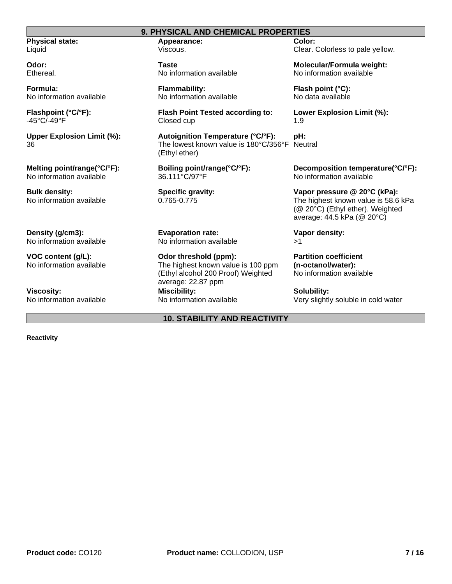#### **9. PHYSICAL AND CHEMICAL PROPERTIES**

**Physical state:** Liquid

**Odor:** Ethereal.

**Formula:** No information available

**Flashpoint (°C/°F):** -45°C/-49°F

**Upper Explosion Limit (%):** 36

**Melting point/range(°C/°F):** No information available

**Bulk density:** No information available

**Density (g/cm3):** No information available

**VOC content (g/L):** No information available

**Viscosity:** No information available **Appearance:** Viscous.

**Taste** No information available

**Flammability:** No information available

**Flash Point Tested according to:** Closed cup

**Autoignition Temperature (°C/°F):** The lowest known value is 180°C/356°F (Ethyl ether)

**Boiling point/range(°C/°F):** 36.111°C/97°F

**Specific gravity:** 0.765-0.775

**Evaporation rate:** No information available

**Odor threshold (ppm):** The highest known value is 100 ppm (Ethyl alcohol 200 Proof) Weighted average: 22.87 ppm **Miscibility:** No information available

**10. STABILITY AND REACTIVITY**

**Color:** Clear. Colorless to pale yellow.

**Molecular/Formula weight:** No information available

**Flash point (°C):** No data available

**Lower Explosion Limit (%):** 1.9

**pH: Neutral** 

> **Decomposition temperature(°C/°F):** No information available

**Vapor pressure @ 20°C (kPa):** The highest known value is 58.6 kPa (@ 20°C) (Ethyl ether). Weighted average: 44.5 kPa (@ 20°C)

**Vapor density:** >1

**Partition coefficient (n-octanol/water):** No information available

**Solubility:** Very slightly soluble in cold water

#### **Reactivity**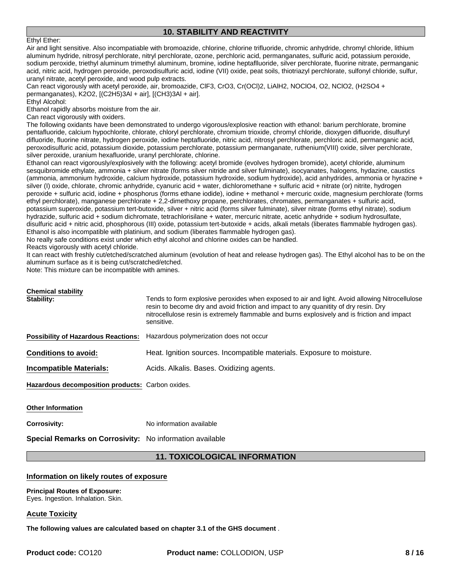#### **10. STABILITY AND REACTIVITY**

#### Ethyl Ether:

Air and light sensitive. Also incompatiable with bromoazide, chlorine, chlorine trifluoride, chromic anhydride, chromyl chloride, lithium aluminum hydride, nitrosyl perchlorate, nitryl perchlorate, ozone, perchloric acid, permanganates, sulfuric acid, potassium peroxide, sodium peroxide, triethyl aluminum trimethyl aluminum, bromine, iodine heptaflluoride, silver perchlorate, fluorine nitrate, permanganic acid, nitric acid, hydrogen peroxide, peroxodisulfuric acid, iodine (VII) oxide, peat soils, thiotriazyl perchlorate, sulfonyl chloride, sulfur, uranyl nitrate, acetyl peroxide, and wood pulp extracts.

Can react vigorously with acetyl peroxide, air, bromoazide, ClF3, CrO3, Cr(OCl)2, LiAlH2, NOClO4, O2, NClO2, (H2SO4 + permanganates), K2O2, [(C2H5)3Al + air], [(CH3)3Al + air].

Ethyl Alcohol:

Ethanol rapidly absorbs moisture from the air.

Can react vigorously with oxiders.

The following oxidants have been demonstrated to undergo vigorous/explosive reaction with ethanol: barium perchlorate, bromine pentafluoride, calcium hypochlorite, chlorate, chloryl perchlorate, chromium trioxide, chromyl chloride, dioxygen difluoride, disulfuryl difluoride, fluorine nitrate, hydrogen peroxide, iodine heptafluoride, nitric acid, nitrosyl perchlorate, perchloric acid, permanganic acid, peroxodisulfuric acid, potassium dioxide, potassium perchlorate, potassium permanganate, ruthenium(VIII) oxide, silver perchlorate, silver peroxide, uranium hexafluoride, uranyl perchlorate, chlorine.

Ethanol can react vigorously/explosively with the following: acetyl bromide (evolves hydrogen bromide), acetyl chloride, aluminum sesquibromide ethylate, ammonia + silver nitrate (forms silver nitride and silver fulminate), isocyanates, halogens, hydazine, caustics (ammonia, ammonium hydroxide, calcium hydroxide, potassium hydroxide, sodium hydroxide), acid anhydrides, ammonia or hyrazine + silver (I) oxide, chlorate, chromic anhydride, cyanuric acid + water, dichloromethane + sulfuric acid + nitrate (or) nitrite, hydrogen peroxide + sulfuric acid, iodine + phosphorus (forms ethane iodide), iodine + methanol + mercuric oxide, magnesium perchlorate (forms ethyl perchlorate), manganese perchlorate + 2,2-dimethoxy propane, perchlorates, chromates, permanganates + sulfuric acid, potassium superoxide, potassium tert-butoxide, silver + nitric acid (forms silver fulminate), silver nitrate (forms ethyl nitrate), sodium hydrazide, sulfuric acid + sodium dichromate, tetrachlorisilane + water, mercuric nitrate, acetic anhydride + sodium hydrosulfate, disulfuric acid + nitric acid, phosphorous (III) oxide, potassium tert-butoxide + acids, alkali metals (liberates flammable hydrogen gas). Ethanol is also incompatible with platinium, and sodium (liberates flammable hydrogen gas).

No really safe conditions exist under which ethyl alcohol and chlorine oxides can be handled.

Reacts vigorously with acetyl chloride.

It can react with freshly cut/etched/scratched aluminum (evolution of heat and release hydrogen gas). The Ethyl alcohol has to be on the aluminum surface as it is being cut/scratched/etched.

Note: This mixture can be incompatible with amines.

| Chemical stability<br>Stability:                 | Tends to form explosive peroxides when exposed to air and light. Avoid allowing Nitrocellulose<br>resin to become dry and avoid friction and impact to any quanitity of dry resin. Dry<br>nitrocellulose resin is extremely flammable and burns explosively and is friction and impact<br>sensitive. |
|--------------------------------------------------|------------------------------------------------------------------------------------------------------------------------------------------------------------------------------------------------------------------------------------------------------------------------------------------------------|
|                                                  | <b>Possibility of Hazardous Reactions:</b> Hazardous polymerization does not occur                                                                                                                                                                                                                   |
| <b>Conditions to avoid:</b>                      | Heat. Ignition sources. Incompatible materials. Exposure to moisture.                                                                                                                                                                                                                                |
| <b>Incompatible Materials:</b>                   | Acids. Alkalis. Bases. Oxidizing agents.                                                                                                                                                                                                                                                             |
| Hazardous decomposition products: Carbon oxides. |                                                                                                                                                                                                                                                                                                      |

#### **Other Information**

**Corrosivity:** No information available

**Special Remarks on Corrosivity:** No information available

#### **11. TOXICOLOGICAL INFORMATION**

#### **Information on likely routes of exposure**

**Principal Routes of Exposure:** Eyes. Ingestion. Inhalation. Skin.

#### **Acute Toxicity**

**The following values are calculated based on chapter 3.1 of the GHS document** .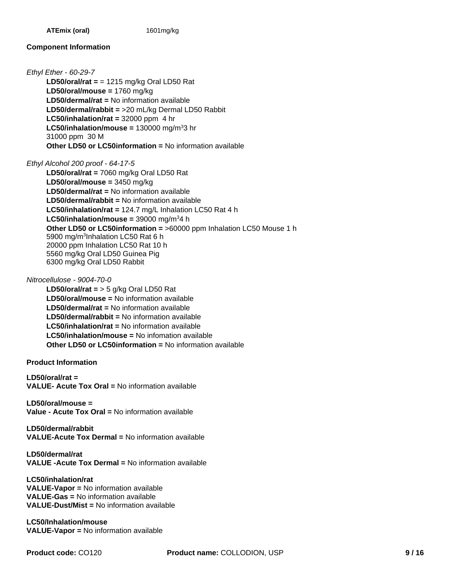#### **Component Information**

*Ethyl Ether - 60-29-7*

**LD50/dermal/rabbit =** >20 mL/kg Dermal LD50 Rabbit **LC50/inhalation/rat =** 32000 ppm 4 hr **LD50/oral/mouse =** 1760 mg/kg  $LC50/inhalation/mouse = 130000 mg/m<sup>3</sup>3 hr$ 31000 ppm 30 M **LD50/oral/rat =** = 1215 mg/kg Oral LD50 Rat **Other LD50 or LC50information =** No information available **LD50/dermal/rat =** No information available

*Ethyl Alcohol 200 proof - 64-17-5*

**LD50/oral/mouse =** 3450 mg/kg **LD50/dermal/rat =** No information available **LD50/dermal/rabbit =** No information available **LC50/inhalation/rat =** 124.7 mg/L Inhalation LC50 Rat 4 h LC50/inhalation/mouse = 39000 mg/m<sup>3</sup>4 h **Other LD50 or LC50information =** >60000 ppm Inhalation LC50 Mouse 1 h 5900 mg/m<sup>3</sup>Inhalation LC50 Rat 6 h 20000 ppm Inhalation LC50 Rat 10 h 5560 mg/kg Oral LD50 Guinea Pig 6300 mg/kg Oral LD50 Rabbit **LD50/oral/rat =** 7060 mg/kg Oral LD50 Rat

*Nitrocellulose - 9004-70-0*

**Other LD50 or LC50information =** No information available **LD50/oral/rat =** > 5 g/kg Oral LD50 Rat **LD50/oral/mouse =** No information available **LD50/dermal/rat =** No information available **LD50/dermal/rabbit =** No information available **LC50/inhalation/rat =** No information available **LC50/inhalation/mouse =** No infomation available

**Product Information**

**LD50/oral/rat = VALUE- Acute Tox Oral =** No information available

**LD50/oral/mouse = Value - Acute Tox Oral =** No information available

**LD50/dermal/rabbit VALUE-Acute Tox Dermal =** No information available

**LD50/dermal/rat VALUE -Acute Tox Dermal =** No information available

**LC50/inhalation/rat VALUE-Vapor =** No information available **VALUE-Gas =** No information available **VALUE-Dust/Mist =** No information available

**LC50/Inhalation/mouse VALUE-Vapor =** No information available

**Product code:** CO120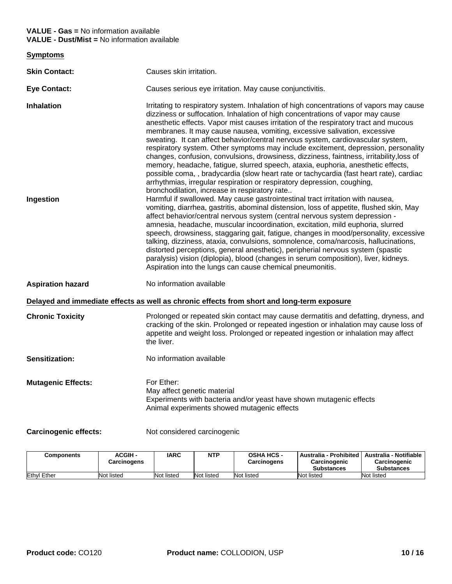#### **VALUE - Gas =** No information available **VALUE - Dust/Mist =** No information available

| <b>Symptoms</b>                |                                                                                                                                                                                                                                                                                                                                                                                                                                                                                                                                                                                                                                                                                                                                                                                                                                                                                                                                                                                                                                                                                                                                                                                                                                                                                                                                                                                                                                                                                                                                                                                                                                                                                                   |
|--------------------------------|---------------------------------------------------------------------------------------------------------------------------------------------------------------------------------------------------------------------------------------------------------------------------------------------------------------------------------------------------------------------------------------------------------------------------------------------------------------------------------------------------------------------------------------------------------------------------------------------------------------------------------------------------------------------------------------------------------------------------------------------------------------------------------------------------------------------------------------------------------------------------------------------------------------------------------------------------------------------------------------------------------------------------------------------------------------------------------------------------------------------------------------------------------------------------------------------------------------------------------------------------------------------------------------------------------------------------------------------------------------------------------------------------------------------------------------------------------------------------------------------------------------------------------------------------------------------------------------------------------------------------------------------------------------------------------------------------|
| <b>Skin Contact:</b>           | Causes skin irritation.                                                                                                                                                                                                                                                                                                                                                                                                                                                                                                                                                                                                                                                                                                                                                                                                                                                                                                                                                                                                                                                                                                                                                                                                                                                                                                                                                                                                                                                                                                                                                                                                                                                                           |
| <b>Eye Contact:</b>            | Causes serious eye irritation. May cause conjunctivitis.                                                                                                                                                                                                                                                                                                                                                                                                                                                                                                                                                                                                                                                                                                                                                                                                                                                                                                                                                                                                                                                                                                                                                                                                                                                                                                                                                                                                                                                                                                                                                                                                                                          |
| <b>Inhalation</b><br>Ingestion | Irritating to respiratory system. Inhalation of high concentrations of vapors may cause<br>dizziness or suffocation. Inhalation of high concentrations of vapor may cause<br>anesthetic effects. Vapor mist causes irritation of the respiratory tract and mucous<br>membranes. It may cause nausea, vomiting, excessive salivation, excessive<br>sweating. It can affect behavior/central nervous system, cardiovascular system,<br>respiratory system. Other symptoms may include excitement, depression, personality<br>changes, confusion, convulsions, drowsiness, dizziness, faintness, irritability, loss of<br>memory, headache, fatigue, slurred speech, ataxia, euphoria, anesthetic effects,<br>possible coma,, bradycardia (slow heart rate or tachycardia (fast heart rate), cardiac<br>arrhythmias, irregular respiration or respiratory depression, coughing,<br>bronchodilation, increase in respiratory rate<br>Harmful if swallowed. May cause gastrointestinal tract irritation with nausea,<br>vomiting, diarrhea, gastritis, abominal distension, loss of appetite, flushed skin, May<br>affect behavior/central nervous system (central nervous system depression -<br>amnesia, headache, muscular incoordination, excitation, mild euphoria, slurred<br>speech, drowsiness, staggaring gait, fatigue, changes in mood/personality, excessive<br>talking, dizziness, ataxia, convulsions, somnolence, coma/narcosis, hallucinations,<br>distorted perceptions, general anesthetic), peripherial nervous system (spastic<br>paralysis) vision (diplopia), blood (changes in serum composition), liver, kidneys.<br>Aspiration into the lungs can cause chemical pneumonitis. |
| <b>Aspiration hazard</b>       | No information available                                                                                                                                                                                                                                                                                                                                                                                                                                                                                                                                                                                                                                                                                                                                                                                                                                                                                                                                                                                                                                                                                                                                                                                                                                                                                                                                                                                                                                                                                                                                                                                                                                                                          |
|                                | Delayed and immediate effects as well as chronic effects from short and long-term exposure                                                                                                                                                                                                                                                                                                                                                                                                                                                                                                                                                                                                                                                                                                                                                                                                                                                                                                                                                                                                                                                                                                                                                                                                                                                                                                                                                                                                                                                                                                                                                                                                        |
| <b>Chronic Toxicity</b>        | Prolonged or repeated skin contact may cause dermatitis and defatting, dryness, and<br>cracking of the skin. Prolonged or repeated ingestion or inhalation may cause loss of<br>appetite and weight loss. Prolonged or repeated ingestion or inhalation may affect<br>the liver.                                                                                                                                                                                                                                                                                                                                                                                                                                                                                                                                                                                                                                                                                                                                                                                                                                                                                                                                                                                                                                                                                                                                                                                                                                                                                                                                                                                                                  |
| Sensitization:                 | No information available                                                                                                                                                                                                                                                                                                                                                                                                                                                                                                                                                                                                                                                                                                                                                                                                                                                                                                                                                                                                                                                                                                                                                                                                                                                                                                                                                                                                                                                                                                                                                                                                                                                                          |
| <b>Mutagenic Effects:</b>      | For Ether:<br>May affect genetic material<br>Experiments with bacteria and/or yeast have shown mutagenic effects<br>Animal experiments showed mutagenic effects                                                                                                                                                                                                                                                                                                                                                                                                                                                                                                                                                                                                                                                                                                                                                                                                                                                                                                                                                                                                                                                                                                                                                                                                                                                                                                                                                                                                                                                                                                                                   |

Carcinogenic effects: Not considered carcinogenic

| Components         | ACGIH -<br><b>Carcinogens</b> | IARC       | <b>NTP</b> | <b>OSHA HCS -</b><br><b>Carcinogens</b> | Australia - Prohibited  <br>Carcinogenic<br><b>Substances</b> | Australia - Notifiable<br>Carcinogenic<br><b>Substances</b> |
|--------------------|-------------------------------|------------|------------|-----------------------------------------|---------------------------------------------------------------|-------------------------------------------------------------|
| <b>Ethyl Ether</b> | Not listed                    | Not listeo | Not listed | Not listed                              | Not listed                                                    | Not listed                                                  |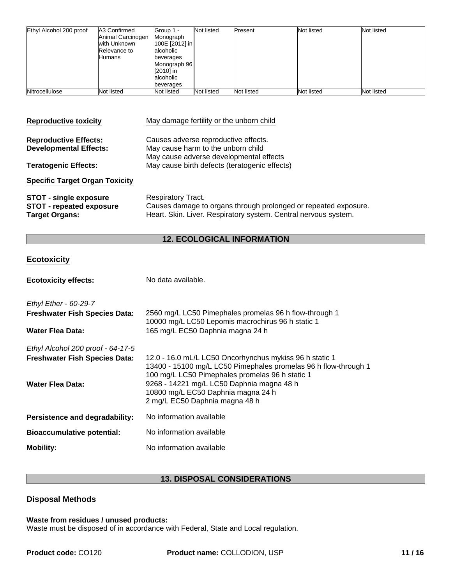| Ethyl Alcohol 200 proof | A3 Confirmed<br>Animal Carcinogen<br>with Unknown<br>Relevance to<br>Humans | Group 1 -<br>Monograph<br>100E [2012] in<br>lalcoholic<br>beverages<br>Monograph 96<br>[2010] in<br>alcoholic<br>beverages | Not listed | Present    | Not listed | Not listed |
|-------------------------|-----------------------------------------------------------------------------|----------------------------------------------------------------------------------------------------------------------------|------------|------------|------------|------------|
| Nitrocellulose          | Not listed                                                                  | Not listed                                                                                                                 | Not listed | Not listed | Not listed | Not listed |

| <b>Reproductive toxicity</b>                                                              | May damage fertility or the unborn child                                                                                                                        |
|-------------------------------------------------------------------------------------------|-----------------------------------------------------------------------------------------------------------------------------------------------------------------|
| <b>Reproductive Effects:</b><br><b>Developmental Effects:</b>                             | Causes adverse reproductive effects.<br>May cause harm to the unborn child<br>May cause adverse developmental effects                                           |
| <b>Teratogenic Effects:</b>                                                               | May cause birth defects (teratogenic effects)                                                                                                                   |
| <b>Specific Target Organ Toxicity</b>                                                     |                                                                                                                                                                 |
| <b>STOT - single exposure</b><br><b>STOT - repeated exposure</b><br><b>Target Organs:</b> | <b>Respiratory Tract.</b><br>Causes damage to organs through prolonged or repeated exposure.<br>Heart. Skin. Liver. Respiratory system. Central nervous system. |

# **12. ECOLOGICAL INFORMATION**

# **Ecotoxicity**

| <b>Ecotoxicity effects:</b>          | No data available.                                                                                                                                                            |
|--------------------------------------|-------------------------------------------------------------------------------------------------------------------------------------------------------------------------------|
| Ethyl Ether - 60-29-7                |                                                                                                                                                                               |
| <b>Freshwater Fish Species Data:</b> | 2560 mg/L LC50 Pimephales promelas 96 h flow-through 1<br>10000 mg/L LC50 Lepomis macrochirus 96 h static 1                                                                   |
| Water Flea Data:                     | 165 mg/L EC50 Daphnia magna 24 h                                                                                                                                              |
| Ethyl Alcohol 200 proof - 64-17-5    |                                                                                                                                                                               |
| <b>Freshwater Fish Species Data:</b> | 12.0 - 16.0 mL/L LC50 Oncorhynchus mykiss 96 h static 1<br>13400 - 15100 mg/L LC50 Pimephales promelas 96 h flow-through 1<br>100 mg/L LC50 Pimephales promelas 96 h static 1 |
| Water Flea Data:                     | 9268 - 14221 mg/L LC50 Daphnia magna 48 h<br>10800 mg/L EC50 Daphnia magna 24 h<br>2 mg/L EC50 Daphnia magna 48 h                                                             |
| Persistence and degradability:       | No information available                                                                                                                                                      |
| <b>Bioaccumulative potential:</b>    | No information available                                                                                                                                                      |
| <b>Mobility:</b>                     | No information available                                                                                                                                                      |

# **13. DISPOSAL CONSIDERATIONS**

# **Disposal Methods**

#### **Waste from residues / unused products:**

Waste must be disposed of in accordance with Federal, State and Local regulation.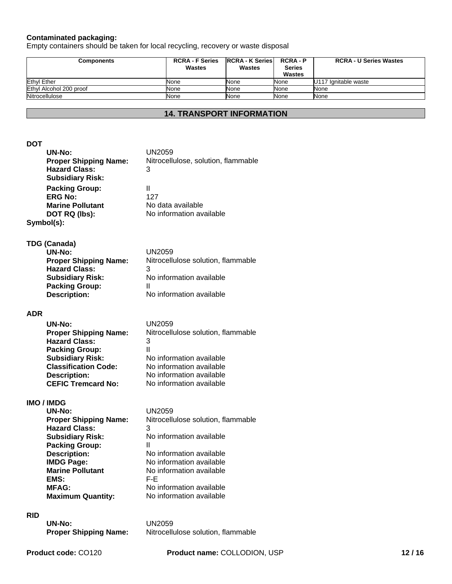#### **Contaminated packaging:**

Empty containers should be taken for local recycling, recovery or waste disposal

| <b>Components</b>       | <b>RCRA - F Series</b><br>Wastes | <b>RCRA - K Series</b><br>Wastes | <b>RCRA-P</b><br><b>Series</b><br>Wastes | <b>RCRA - U Series Wastes</b> |
|-------------------------|----------------------------------|----------------------------------|------------------------------------------|-------------------------------|
| <b>Ethyl Ether</b>      | <b>None</b>                      | None                             | None                                     | U117 Ignitable waste          |
| Ethyl Alcohol 200 proof | None                             | None                             | None                                     | None                          |
| Nitrocellulose          | None                             | None                             | None                                     | None                          |

#### **14. TRANSPORT INFORMATION**

#### **DOT**

| UN-No:                       | UN2059                              |
|------------------------------|-------------------------------------|
| <b>Proper Shipping Name:</b> | Nitrocellulose, solution, flammable |
| <b>Hazard Class:</b>         | 3                                   |
| <b>Subsidiary Risk:</b>      |                                     |
| <b>Packing Group:</b>        | н                                   |
| <b>ERG No:</b>               | 127                                 |
| <b>Marine Pollutant</b>      | No data available                   |
| DOT RQ (lbs):                | No information available            |
| Symbol(s):                   |                                     |

#### **TDG (Canada)**

| UN-No:                       | UN2059                             |
|------------------------------|------------------------------------|
| <b>Proper Shipping Name:</b> | Nitrocellulose solution, flammable |
| <b>Hazard Class:</b>         | 3                                  |
| <b>Subsidiary Risk:</b>      | No information available           |
| <b>Packing Group:</b>        |                                    |
| <b>Description:</b>          | No information available           |

#### **ADR**

| UN-No:                       | UN2059                             |
|------------------------------|------------------------------------|
| <b>Proper Shipping Name:</b> | Nitrocellulose solution, flammable |
| <b>Hazard Class:</b>         | 3                                  |
| <b>Packing Group:</b>        | Ш                                  |
| <b>Subsidiary Risk:</b>      | No information available           |
| <b>Classification Code:</b>  | No information available           |
| <b>Description:</b>          | No information available           |
| <b>CEFIC Tremcard No:</b>    | No information available           |

#### **IMO / IMDG**

| $UN-No:$                     | UN2059                             |
|------------------------------|------------------------------------|
| <b>Proper Shipping Name:</b> | Nitrocellulose solution, flammable |
| <b>Hazard Class:</b>         | 3                                  |
| <b>Subsidiary Risk:</b>      | No information available           |
| <b>Packing Group:</b>        | Ш                                  |
| <b>Description:</b>          | No information available           |
| <b>IMDG Page:</b>            | No information available           |
| <b>Marine Pollutant</b>      | No information available           |
| EMS:                         | F-F.                               |
| <b>MFAG:</b>                 | No information available           |
| <b>Maximum Quantity:</b>     | No information available           |

#### **RID**

**UN-No:** UN2059<br>**Proper Shipping Name:** Nitrocellu

Nitrocellulose solution, flammable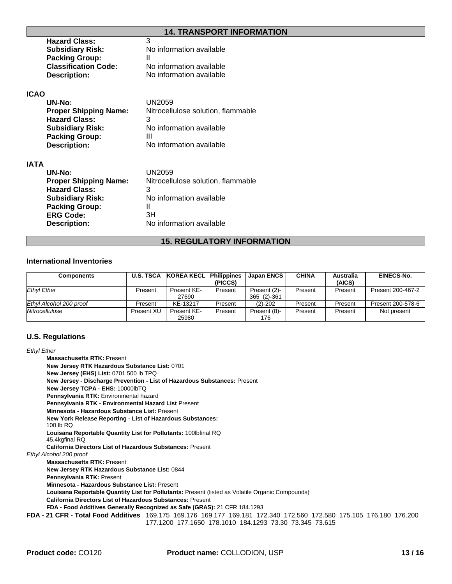#### **14. TRANSPORT INFORMATION**

| <b>Hazard Class:</b>        | 3                        |
|-----------------------------|--------------------------|
| <b>Subsidiary Risk:</b>     | No information available |
| <b>Packing Group:</b>       |                          |
| <b>Classification Code:</b> | No information available |
| <b>Description:</b>         | No information available |

#### **ICAO**

| UN-No:                       | UN2059                             |
|------------------------------|------------------------------------|
| <b>Proper Shipping Name:</b> | Nitrocellulose solution, flammable |
| <b>Hazard Class:</b>         | 3                                  |
| <b>Subsidiary Risk:</b>      | No information available           |
| <b>Packing Group:</b>        | Ш                                  |
| <b>Description:</b>          | No information available           |

#### **IATA**

| UN-No:                       | UN2059                             |
|------------------------------|------------------------------------|
| <b>Proper Shipping Name:</b> | Nitrocellulose solution, flammable |
| <b>Hazard Class:</b>         | 3                                  |
| <b>Subsidiary Risk:</b>      | No information available           |
| <b>Packing Group:</b>        |                                    |
| <b>ERG Code:</b>             | 3H                                 |
| <b>Description:</b>          | No information available           |
|                              |                                    |

# **15. REGULATORY INFORMATION**

#### **International Inventories**

| Components              | <b>U.S. TSCA</b> | KOREA KECL           | <b>Philippines</b><br>(PICCS) | <b>Japan ENCS</b>           | <b>CHINA</b> | <b>Australia</b><br>(AICS) | <b>EINECS-No.</b> |
|-------------------------|------------------|----------------------|-------------------------------|-----------------------------|--------------|----------------------------|-------------------|
| <b>Ethyl Ether</b>      | Present          | Present KE-<br>27690 | Present                       | Present (2)-<br>365 (2)-361 | Present      | Present                    | Present 200-467-2 |
| Ethyl Alcohol 200 proof | Present          | KE-13217             | Present                       | $(2) - 202$                 | Present      | Present                    | Present 200-578-6 |
| Nitrocellulose          | Present XU       | Present KE-<br>25980 | Present                       | Present (8)-<br>176         | Present      | Present                    | Not present       |

# **U.S. Regulations**

#### *Ethyl Ether*

| <b>Massachusetts RTK: Present</b> |                                                                                                                                                                                                                                                                                                                                                                                                                                                                                                                                                                                                                                                                                                                |
|-----------------------------------|----------------------------------------------------------------------------------------------------------------------------------------------------------------------------------------------------------------------------------------------------------------------------------------------------------------------------------------------------------------------------------------------------------------------------------------------------------------------------------------------------------------------------------------------------------------------------------------------------------------------------------------------------------------------------------------------------------------|
|                                   |                                                                                                                                                                                                                                                                                                                                                                                                                                                                                                                                                                                                                                                                                                                |
|                                   |                                                                                                                                                                                                                                                                                                                                                                                                                                                                                                                                                                                                                                                                                                                |
|                                   | New Jersey - Discharge Prevention - List of Hazardous Substances: Present                                                                                                                                                                                                                                                                                                                                                                                                                                                                                                                                                                                                                                      |
|                                   |                                                                                                                                                                                                                                                                                                                                                                                                                                                                                                                                                                                                                                                                                                                |
|                                   |                                                                                                                                                                                                                                                                                                                                                                                                                                                                                                                                                                                                                                                                                                                |
|                                   |                                                                                                                                                                                                                                                                                                                                                                                                                                                                                                                                                                                                                                                                                                                |
|                                   |                                                                                                                                                                                                                                                                                                                                                                                                                                                                                                                                                                                                                                                                                                                |
| 100 lb RQ                         |                                                                                                                                                                                                                                                                                                                                                                                                                                                                                                                                                                                                                                                                                                                |
| 45.4kgfinal RQ                    |                                                                                                                                                                                                                                                                                                                                                                                                                                                                                                                                                                                                                                                                                                                |
|                                   |                                                                                                                                                                                                                                                                                                                                                                                                                                                                                                                                                                                                                                                                                                                |
|                                   |                                                                                                                                                                                                                                                                                                                                                                                                                                                                                                                                                                                                                                                                                                                |
| <b>Massachusetts RTK: Present</b> |                                                                                                                                                                                                                                                                                                                                                                                                                                                                                                                                                                                                                                                                                                                |
|                                   |                                                                                                                                                                                                                                                                                                                                                                                                                                                                                                                                                                                                                                                                                                                |
| <b>Pennsylvania RTK: Present</b>  |                                                                                                                                                                                                                                                                                                                                                                                                                                                                                                                                                                                                                                                                                                                |
|                                   |                                                                                                                                                                                                                                                                                                                                                                                                                                                                                                                                                                                                                                                                                                                |
|                                   | Louisana Reportable Quantity List for Pollutants: Present (listed as Volatile Organic Compounds)                                                                                                                                                                                                                                                                                                                                                                                                                                                                                                                                                                                                               |
|                                   |                                                                                                                                                                                                                                                                                                                                                                                                                                                                                                                                                                                                                                                                                                                |
|                                   | FDA - Food Additives Generally Recognized as Safe (GRAS): 21 CFR 184.1293                                                                                                                                                                                                                                                                                                                                                                                                                                                                                                                                                                                                                                      |
|                                   | FDA - 21 CFR - Total Food Additives 169.175 169.176 169.177 169.181 172.340 172.560 172.580 175.105 176.180 176.200<br>177.1200 177.1650 178.1010 184.1293 73.30 73.345 73.615                                                                                                                                                                                                                                                                                                                                                                                                                                                                                                                                 |
|                                   | cu iyi cu i <del>c</del> i<br>New Jersey RTK Hazardous Substance List: 0701<br>New Jersey (EHS) List: 0701 500 lb TPQ<br>New Jersey TCPA - EHS: 10000lbTQ<br>Pennsylvania RTK: Environmental hazard<br>Pennsylvania RTK - Environmental Hazard List Present<br>Minnesota - Hazardous Substance List: Present<br>New York Release Reporting - List of Hazardous Substances:<br>Louisana Reportable Quantity List for Pollutants: 100 Iblinal RQ<br><b>California Directors List of Hazardous Substances: Present</b><br>Ethyl Alcohol 200 proof<br>New Jersey RTK Hazardous Substance List: 0844<br>Minnesota - Hazardous Substance List: Present<br>California Directors List of Hazardous Substances: Present |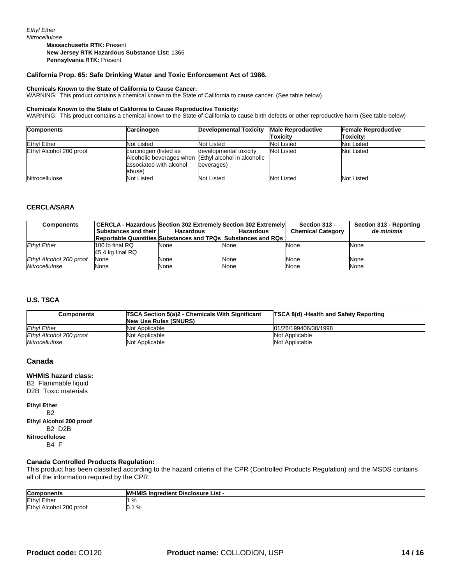**Massachusetts RTK:** Present **New Jersey RTK Hazardous Substance List:** 1366 **Pennsylvania RTK:** Present

#### **California Prop. 65: Safe Drinking Water and Toxic Enforcement Act of 1986.**

#### **Chemicals Known to the State of California to Cause Cancer:**

WARNING: This product contains a chemical known to the State of California to cause cancer. (See table below)

#### **Chemicals Known to the State of California to Cause Reproductive Toxicity:**

WARNING: This product contains a chemical known to the State of California to cause birth defects or other reproductive harm (See table below)

| <b>Components</b>       | Carcinogen                                                 | <b>Developmental Toxicity</b>                                                                | <b>Male Reproductive</b> | <b>Female Reproductive</b> |
|-------------------------|------------------------------------------------------------|----------------------------------------------------------------------------------------------|--------------------------|----------------------------|
|                         |                                                            |                                                                                              | Toxicity                 | Toxicity:                  |
| <b>Ethyl Ether</b>      | Not Listed                                                 | Not Listed                                                                                   | Not Listed               | Not Listed                 |
| Ethyl Alcohol 200 proof | carcinogen (listed as<br>associated with alcohol<br>abuse) | developmental toxicity<br>Alcoholic beverages when (Ethyl alcohol in alcoholic<br>beverages) | Not Listed               | Not Listed                 |
| Nitrocellulose          | <b>Not Listed</b>                                          | <b>Not Listed</b>                                                                            | Not Listed               | Not Listed                 |

#### **CERCLA/SARA**

| <b>Components</b>       | CERCLA - Hazardous   Section 302 Extremely   Section 302 Extremely<br>Substances and their I | Hazardous | Hazardous<br><b>Reportable Quantities Substances and TPQsI Substances and RQs</b> | Section 313 -<br><b>Chemical Category</b> | Section 313 - Reporting<br>de minimis |
|-------------------------|----------------------------------------------------------------------------------------------|-----------|-----------------------------------------------------------------------------------|-------------------------------------------|---------------------------------------|
| <b>Ethvl Ether</b>      | 100 lb final RQ<br>45.4 kg final RQ                                                          | None      | None                                                                              | None                                      | None                                  |
| Ethyl Alcohol 200 proof | None                                                                                         | None      | None                                                                              | None                                      | None                                  |
| Nitrocellulose          | None                                                                                         | None      | None                                                                              | None                                      | None                                  |

#### **U.S. TSCA**

| <b>Components</b>       | <b>TSCA Section 5(a)2 - Chemicals With Significant</b> | <b>TSCA 8(d) -Health and Safety Reporting</b> |  |
|-------------------------|--------------------------------------------------------|-----------------------------------------------|--|
|                         | New Use Rules (SNURS)                                  |                                               |  |
| <b>Ethvl Ether</b>      | Not Applicable                                         | 01/26/199406/30/1998                          |  |
| Ethyl Alcohol 200 proof | Not Applicable                                         | Not Applicable                                |  |
| Nitrocellulose          | Not Applicable                                         | Not Applicable                                |  |

#### **Canada**

#### **WHMIS hazard class:**

B2 Flammable liquid D2B Toxic materials

**Ethyl Ether** B2 **Ethyl Alcohol 200 proof** B2 D2B **Nitrocellulose** B4 F

#### **Canada Controlled Products Regulation:**

This product has been classified according to the hazard criteria of the CPR (Controlled Products Regulation) and the MSDS contains all of the information required by the CPR.

| Com<br>.<br>ponents             | ---<br>WН<br><b>Disclosure</b><br>∟ist ∗<br>i Inaredient<br>HMIS |
|---------------------------------|------------------------------------------------------------------|
| $F$ the<br>Ethyl<br>ᄂᄖ          | $\Omega$<br>76                                                   |
| Ethyl<br>200<br>proo<br>Alcohol | %<br>υ.                                                          |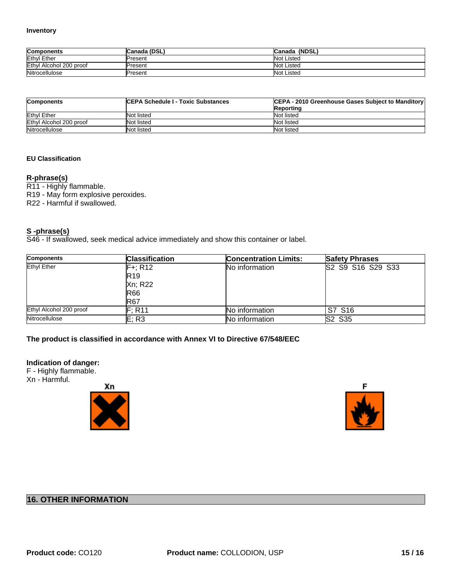| <b>Components</b>       | Canada (DSL) | Canada (NDSL)     |
|-------------------------|--------------|-------------------|
| <b>Ethyl Ether</b>      | Present      | Not Listed        |
| Ethyl Alcohol 200 proof | Present      | <b>Not Listed</b> |
| Nitrocellulose          | Present      | <b>Not Listed</b> |

| <b>Components</b>       | <b>ICEPA Schedule I - Toxic Substances</b> | CEPA - 2010 Greenhouse Gases Subject to Manditory |
|-------------------------|--------------------------------------------|---------------------------------------------------|
|                         |                                            | Reporting                                         |
| <b>Ethyl Ether</b>      | Not listed                                 | Not listed                                        |
| Ethyl Alcohol 200 proof | Not listed                                 | Not listed                                        |
| Nitrocellulose          | Not listed                                 | Not listed                                        |

#### **EU Classification**

#### **R-phrase(s)**

R11 - Highly flammable.

R19 - May form explosive peroxides.

R22 - Harmful if swallowed.

#### **S -phrase(s)**

S46 - If swallowed, seek medical advice immediately and show this container or label.

| <b>Components</b>       | <b>Classification</b> | <b>Concentration Limits:</b> | <b>Safety Phrases</b> |
|-------------------------|-----------------------|------------------------------|-----------------------|
| <b>Ethyl Ether</b>      | $F + R 12$            | No information               | S2 S9 S16 S29 S33     |
|                         | <b>R19</b>            |                              |                       |
|                         | Xn; R22               |                              |                       |
|                         | <b>R66</b>            |                              |                       |
|                         | <b>R67</b>            |                              |                       |
| Ethyl Alcohol 200 proof | F: R11                | No information               | S7 S16                |
| Nitrocellulose          | E; R3                 | No information               | <b>S2 S35</b>         |

#### **The product is classified in accordance with Annex VI to Directive 67/548/EEC**

#### **Indication of danger:**

F - Highly flammable. Xn - Harmful.





## **16. OTHER INFORMATION**